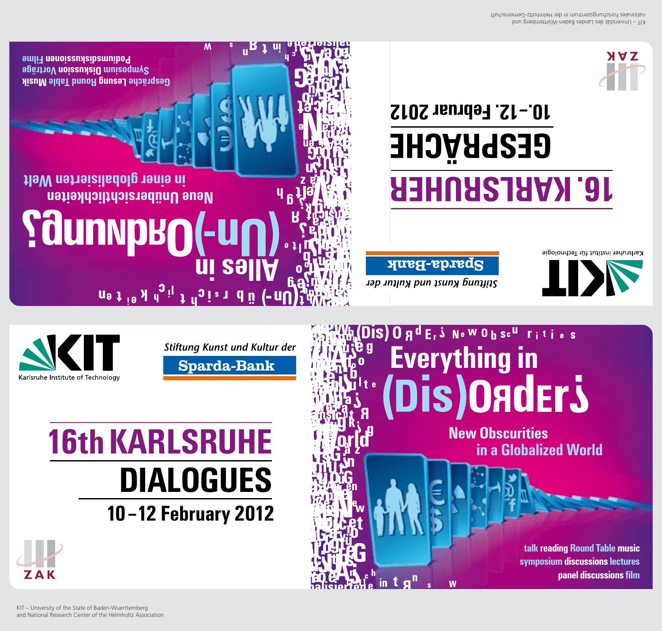

## **16th KARLSRUHE DIALOGUES** 10-12 February 2012



Stiftung Kunst und Kultur der **Sparda-Bank** 

## **IS) O g d E, S Ne W O h sc<sup>u</sup> rities Everything in** (Dis)Onders

**New Obscurities** 

in a Globalized World

talk reading Round Table music symposium discussions lectures

panel discussions film

# **ileW** netreisiladolg tenie ni **Neue Unübersichtlichkeiten Saunnpro (-un** u<sup>9</sup> j<sup>i9</sup> y <sup>d</sup><sub>0</sub> j <sup>d</sup><sub>0</sub> i <sup>z</sup> d ü (-nU

M

**Podinion and proportional Filme** Symposium Distriction Vortrage pisum aldel bunon lable Mush

Johnny bun tenux puntur der

in.

Sparda-Bank

Karlsruher Institut für Technologie

### $10 - 12$ . Februar 2012 **GESPRÄCHE ABLISRUHER**



zignosniemechungen und municipalitäten zu meinen zu eine und zu eine ihm <a>bun priversität des Landes Baden-Württemberg und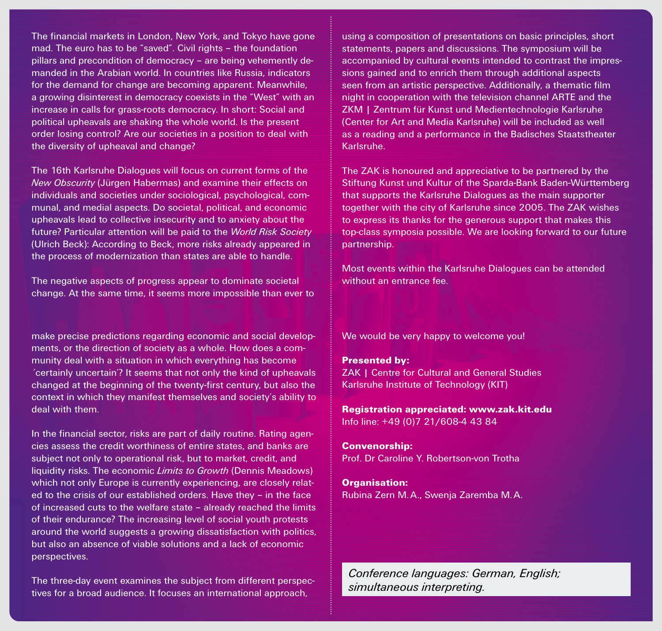The financial markets in London, New York, and Tokyo have gone mad. The euro has to be "saved". Civil rights – the foundation pillars and precondition of democracy – are being vehemently demanded in the Arabian world. In countries like Russia, indicators for the demand for change are becoming apparent. Meanwhile, a growing disinterest in democracy coexists in the "West" with an increase in calls for grass-roots democracy. In short: Social and political upheavals are shaking the whole world. Is the present order losing control? Are our societies in a position to deal with the diversity of upheaval and change?

The 16th Karlsruhe Dialogues will focus on current forms of the *New Obscurity* (Jürgen Habermas) and examine their effects on individuals and societies under sociological, psychological, communal, and medial aspects. Do societal, political, and economic upheavals lead to collective insecurity and to anxiety about the future? Particular attention will be paid to the *World Risk Society* (Ulrich Beck): According to Beck, more risks already appeared in the process of modernization than states are able to handle.

The negative aspects of progress appear to dominate societal change. At the same time, it seems more impossible than ever to

make precise predictions regarding economic and social developments, or the direction of society as a whole. How does a community deal with a situation in which everything has become ´certainly uncertain'? It seems that not only the kind of upheavals changed at the beginning of the twenty-first century, but also the context in which they manifest themselves and society's ability to deal with them.

In the financial sector, risks are part of daily routine. Rating agencies assess the credit worthiness of entire states, and banks are subject not only to operational risk, but to market, credit, and liquidity risks. The economic *Limits to Growth* (Dennis Meadows) which not only Europe is currently experiencing, are closely related to the crisis of our established orders. Have they – in the face of increased cuts to the welfare state – already reached the limits of their endurance? The increasing level of social youth protests around the world suggests a growing dissatisfaction with politics, but also an absence of viable solutions and a lack of economic perspectives.

The three-day event examines the subject from different perspectives for a broad audience. It focuses an international approach,

using a composition of presentations on basic principles, short statements, papers and discussions. The symposium will be accompanied by cultural events intended to contrast the impressions gained and to enrich them through additional aspects seen from an artistic perspective. Additionally, a thematic film night in cooperation with the television channel ARTE and the ZKM | Zentrum für Kunst und Medientechnologie Karlsruhe (Center for Art and Media Karlsruhe) will be included as well as a reading and a performance in the Badisches Staatstheater Karlsruhe.

The ZAK is honoured and appreciative to be partnered by the Stiftung Kunst und Kultur of the Sparda-Bank Baden-Württemberg that supports the Karlsruhe Dialogues as the main supporter together with the city of Karlsruhe since 2005. The ZAK wishes to express its thanks for the generous support that makes this top-class symposia possible. We are looking forward to our future partnership.

Most events within the Karlsruhe Dialogues can be attended without an entrance fee.

We would be very happy to welcome you!

Presented by: ZAK | Centre for Cultural and General Studies Karlsruhe Institute of Technology (KIT)

Registration appreciated: www.zak.kit.edu Info line: +49 (0)7 21/608-4 43 84

Convenorship: Prof. Dr Caroline Y. Robertson-von Trotha

Organisation: Rubina Zern M.A., Swenja Zaremba M.A.

*Conference languages: German, English; simultaneous interpreting.*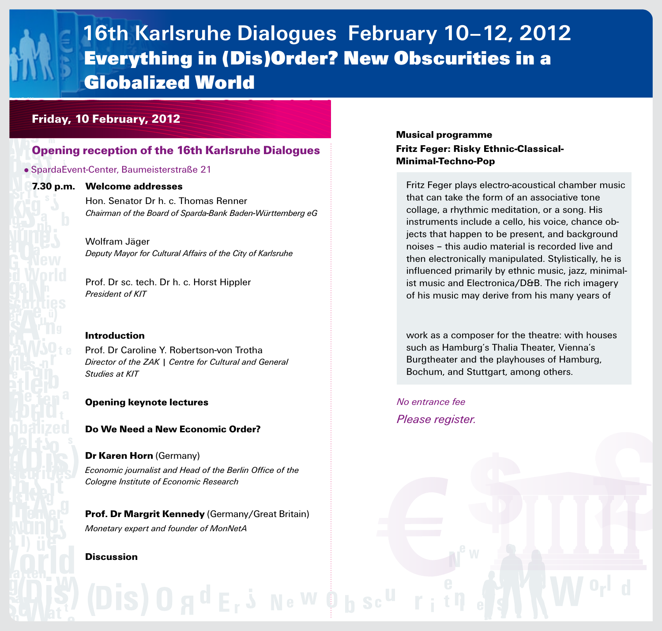### **16th Karlsruhe Dialogues February 10–12, 2012 Everything in (Dis)Order? New Obscurities in a Globalized World**

#### Friday, 10 February, 2012

#### Opening reception of the 16th Karlsruhe Dialogues

#### SpardaEvent-Center, Baumeisterstraße 21

#### 7.30 p.m. Welcome addresses

Hon. Senator Dr h. c. Thomas Renner *Chairman of the Board of Sparda-Bank Baden-Württemberg eG*

Wolfram Jäger *Deputy Mayor for Cultural Affairs of the City of Karlsruhe*

Prof. Dr sc. tech. Dr h. c. Horst Hippler *President of KIT*

#### Introduction

Prof. Dr Caroline Y. Robertson-von Trotha *Director of the ZAK | Centre for Cultural and General Studies at KIT*

#### Opening keynote lectures

#### Do We Need a New Economic Order?

#### Dr Karen Horn (Germany)

*Economic journalist and Head of the Berlin Office of the Cologne Institute of Economic Research*

Prof. Dr Margrit Kennedy (Germany/Great Britain) *Monetary expert and founder of MonNetA*

(Dis) 0 g <sup>d</sup> E, 5 Ne <sup>W 6</sup> b sc <sup>u</sup>

#### **Discussion**

#### Musical programme Fritz Feger: Risky Ethnic-Classical-Minimal-Techno-Pop

Fritz Feger plays electro-acoustical chamber music that can take the form of an associative tone collage, a rhythmic meditation, or a song. His instruments include a cello, his voice, chance objects that happen to be present, and background noises – this audio material is recorded live and then electronically manipulated. Stylistically, he is influenced primarily by ethnic music, jazz, minimalist music and Electronica/D&B. The rich imagery of his music may derive from his many years of

work as a composer for the theatre: with houses such as Hamburg's Thalia Theater, Vienna's Burgtheater and the playhouses of Hamburg, Bochum, and Stuttgart, among others.

*No entrance fee Please register.*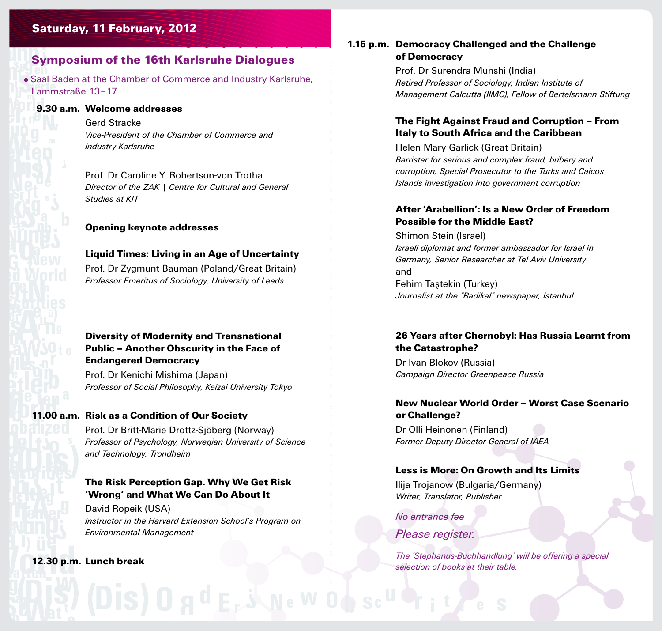#### Saturday, 11 February, 2012

#### Symposium of the 16th Karlsruhe Dialogues

Saal Baden at the Chamber of Commerce and Industry Karlsruhe, Lammstraße 13–17

#### **in a Globalized World** 9.30 a.m. Welcome addresses

Gerd Stracke *Vice-President of the Chamber of Commerce and Industry Karlsruhe*

Prof. Dr Caroline Y. Robertson-von Trotha *Director of the ZAK | Centre for Cultural and General Studies at KIT*

#### Opening keynote addresses

#### Liquid Times: Living in an Age of Uncertainty

Prof. Dr Zygmunt Bauman (Poland/Great Britain) *Professor Emeritus of Sociology, University of Leeds*

#### Diversity of Modernity and Transnational Public – Another Obscurity in the Face of Endangered Democracy

Prof. Dr Kenichi Mishima (Japan) *Professor of Social Philosophy, Keizai University Tokyo*

#### **in a Global**<br>**i**n a Global **I in a Globalized** 11.00 a.m. Risk as a Condition of Our Society

Prof. Dr Britt-Marie Drottz-Sjöberg (Norway) *Professor of Psychology, Norwegian University of Science and Technology, Trondheim* 

#### The Risk Perception Gap. Why We Get Risk 'Wrong' and What We Can Do About It

David Ropeik (USA) *Instructor in the Harvard Extension School's Program on Environmental Management*

### **in a Globalized World World**<br>**in a Globalized World World World**<br> **in a Globalized World World World World World** 12.30 p.m. Lunch break

#### 1.15 p.m. Democracy Challenged and the Challenge of Democracy

Prof. Dr Surendra Munshi (India) *Retired Professor of Sociology, Indian Institute of Management Calcutta (IIMC), Fellow of Bertelsmann Stiftung* 

#### The Fight Against Fraud and Corruption – From Italy to South Africa and the Caribbean

Helen Mary Garlick (Great Britain) *Barrister for serious and complex fraud, bribery and corruption, Special Prosecutor to the Turks and Caicos Islands investigation into government corruption*

#### After 'Arabellion': Is a New Order of Freedom Possible for the Middle East?

Shimon Stein (Israel) *Israeli diplomat and former ambassador for Israel in Germany, Senior Researcher at Tel Aviv University* and Fehim Taştekin (Turkey) *Journalist at the "Radikal" newspaper, Istanbul* 

#### 26 Years after Chernobyl: Has Russia Learnt from the Catastrophe?

Dr Ivan Blokov (Russia) *Campaign Director Greenpeace Russia*

#### New Nuclear World Order – Worst Case Scenario or Challenge?

Dr Olli Heinonen (Finland) *Former Deputy Director General of IAEA*

#### Less is More: On Growth and Its Limits

Ilija Trojanow (Bulgaria/Germany) *Writer, Translator, Publisher*

*No entrance fee*

#### *Please register.*

 *The 'Stephanus-Buchhandlung' will be offering a special selection of books at their table.*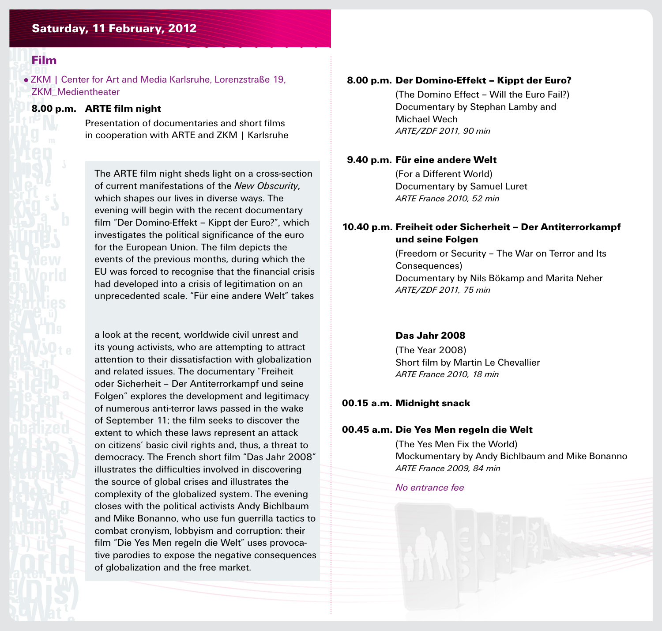#### Saturday, 11 February, 2012

#### Film

ZKM | Center for Art and Media Karlsruhe, Lorenzstraße 19, ZKM\_Medientheater

#### **in a** Global **B**.0 8.00 p.m. ARTE film night

 Presentation of documentaries and short films in cooperation with ARTE and ZKM | Karlsruhe

The ARTE film night sheds light on a cross-section of current manifestations of the *New Obscurity*, which shapes our lives in diverse ways. The evening will begin with the recent documentary film "Der Domino-Effekt – Kippt der Euro?", which investigates the political significance of the euro for the European Union. The film depicts the events of the previous months, during which the EU was forced to recognise that the financial crisis had developed into a crisis of legitimation on an unprecedented scale. "Für eine andere Welt" takes

a look at the recent, worldwide civil unrest and its young activists, who are attempting to attract attention to their dissatisfaction with globalization and related issues. The documentary "Freiheit oder Sicherheit – Der Antiterrorkampf und seine Folgen" explores the development and legitimacy of numerous anti-terror laws passed in the wake of September 11; the film seeks to discover the extent to which these laws represent an attack on citizens' basic civil rights and, thus, a threat to democracy. The French short film "Das Jahr 2008" illustrates the difficulties involved in discovering the source of global crises and illustrates the complexity of the globalized system. The evening closes with the political activists Andy Bichlbaum and Mike Bonanno, who use fun guerrilla tactics to combat cronyism, lobbyism and corruption: their film "Die Yes Men regeln die Welt" uses provocative parodies to expose the negative consequences of globalization and the free market.

#### 8.00 p.m. Der Domino-Effekt – Kippt der Euro?

 (The Domino Effect – Will the Euro Fail?) Documentary by Stephan Lamby and Michael Wech *ARTE/ZDF 2011, 90 min*

#### 9.40 p.m. Für eine andere Welt

 (For a Different World) Documentary by Samuel Luret *ARTE France 2010, 52 min*

#### 10.40 p.m. Freiheit oder Sicherheit – Der Antiterrorkampf und seine Folgen

 (Freedom or Security – The War on Terror and Its Consequences) Documentary by Nils Bökamp and Marita Neher *ARTE/ZDF 2011, 75 min*

#### Das Jahr 2008

 (The Year 2008) Short film by Martin Le Chevallier *ARTE France 2010, 18 min*

#### 00.15 a.m. Midnight snack

#### 00.45 a.m. Die Yes Men regeln die Welt

 (The Yes Men Fix the World) Mockumentary by Andy Bichlbaum and Mike Bonanno *ARTE France 2009, 84 min*

*No entrance fee*